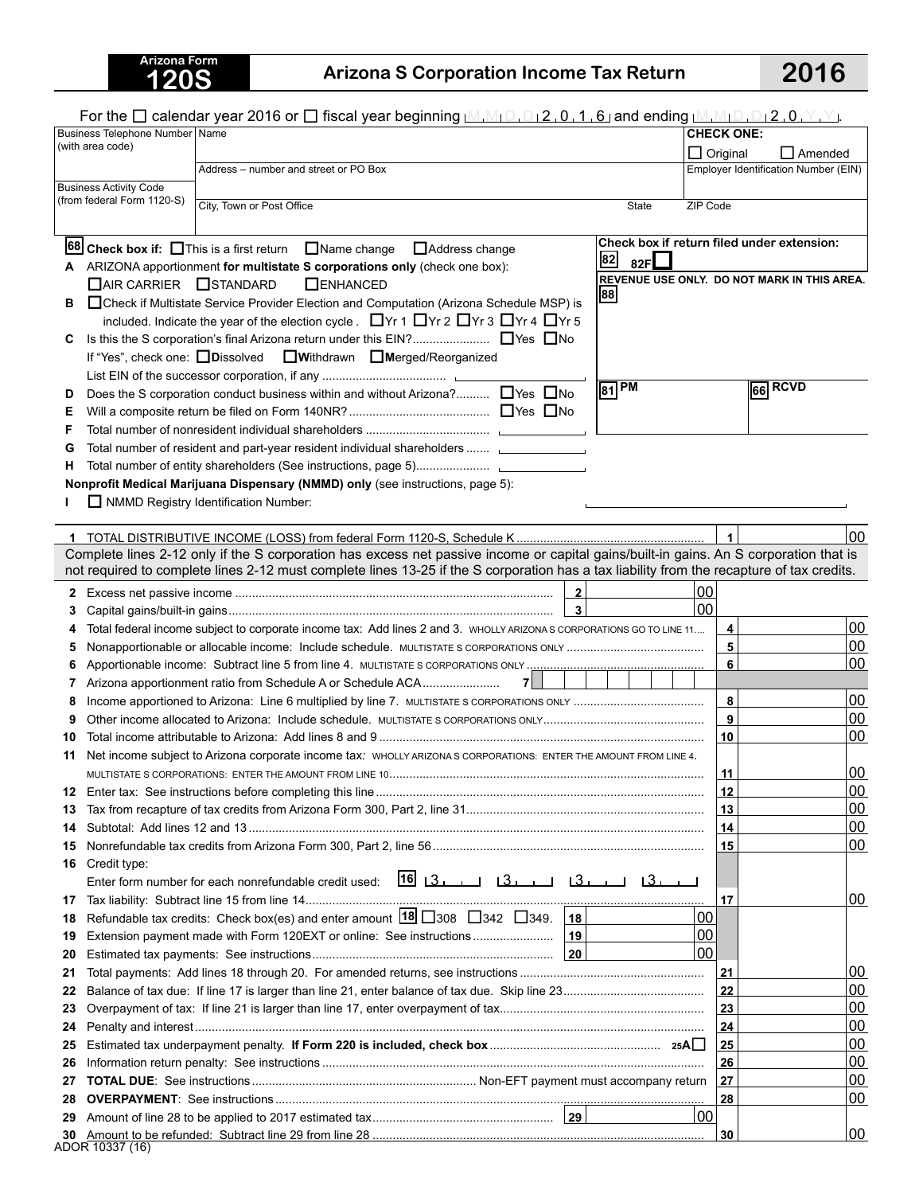## **Arizona Form**

## Arizona S Corporation Income Tax Return **2016**

|                                                             |                                                                           | For the $\Box$ calendar year 2016 or $\Box$ fiscal year beginning $[M, M_1 \Box, D_1 2, 0, 1, 6]$ and ending $[M, M_1 \Box, D_1 2, 0, Y, Y]$ .                   |                                   |                                             |  |
|-------------------------------------------------------------|---------------------------------------------------------------------------|------------------------------------------------------------------------------------------------------------------------------------------------------------------|-----------------------------------|---------------------------------------------|--|
|                                                             | Business Telephone Number Name                                            |                                                                                                                                                                  |                                   | <b>CHECK ONE:</b>                           |  |
| (with area code)                                            |                                                                           |                                                                                                                                                                  | $\Box$ Original<br>$\Box$ Amended |                                             |  |
|                                                             |                                                                           | Address - number and street or PO Box                                                                                                                            |                                   | Employer Identification Number (EIN)        |  |
| <b>Business Activity Code</b><br>(from federal Form 1120-S) |                                                                           |                                                                                                                                                                  |                                   |                                             |  |
|                                                             |                                                                           | City, Town or Post Office<br>ZIP Code<br>State                                                                                                                   |                                   |                                             |  |
|                                                             |                                                                           |                                                                                                                                                                  |                                   |                                             |  |
|                                                             |                                                                           | Check box if return filed under extension:<br><b>68</b> Check box if: $\Box$ This is a first return $\Box$ Name change $\Box$ Address change<br>82<br>82F $\Box$ |                                   |                                             |  |
| А                                                           | ARIZONA apportionment for multistate S corporations only (check one box): |                                                                                                                                                                  |                                   | REVENUE USE ONLY. DO NOT MARK IN THIS AREA. |  |
|                                                             | □ AIR CARRIER □ STANDARD                                                  | <b>OENHANCED</b><br> 88                                                                                                                                          |                                   |                                             |  |
| в                                                           |                                                                           | □ Check if Multistate Service Provider Election and Computation (Arizona Schedule MSP) is                                                                        |                                   |                                             |  |
|                                                             |                                                                           | included. Indicate the year of the election cycle. ■Yr 1 ■Yr 2 ■Yr 3 ■Yr 4 ■Yr 5                                                                                 |                                   |                                             |  |
| C                                                           |                                                                           | If "Yes", check one: □ Dissolved □ Withdrawn □ Merged/Reorganized                                                                                                |                                   |                                             |  |
|                                                             |                                                                           |                                                                                                                                                                  |                                   |                                             |  |
| D                                                           |                                                                           | $\sqrt{81}$ PM<br>Does the S corporation conduct business within and without Arizona? □ Yes □ No                                                                 |                                   | 66 RCVD                                     |  |
| Е                                                           |                                                                           |                                                                                                                                                                  |                                   |                                             |  |
| F                                                           |                                                                           |                                                                                                                                                                  |                                   |                                             |  |
| G                                                           |                                                                           | Total number of resident and part-year resident individual shareholders                                                                                          |                                   |                                             |  |
| н                                                           |                                                                           |                                                                                                                                                                  |                                   |                                             |  |
|                                                             |                                                                           | Nonprofit Medical Marijuana Dispensary (NMMD) only (see instructions, page 5):                                                                                   |                                   |                                             |  |
|                                                             |                                                                           | NMMD Registry Identification Number:                                                                                                                             |                                   |                                             |  |
|                                                             |                                                                           |                                                                                                                                                                  |                                   |                                             |  |
|                                                             |                                                                           | Complete lines 2-12 only if the S corporation has excess net passive income or capital gains/built-in gains. An S corporation that is                            | $\blacktriangleleft$              | 00                                          |  |
|                                                             |                                                                           | not required to complete lines 2-12 must complete lines 13-25 if the S corporation has a tax liability from the recapture of tax credits.                        |                                   |                                             |  |
|                                                             |                                                                           | 00<br>$\overline{\mathbf{2}}$                                                                                                                                    |                                   |                                             |  |
| 3                                                           |                                                                           | $\overline{\mathbf{3}}$<br>00                                                                                                                                    |                                   |                                             |  |
| 4                                                           |                                                                           | Total federal income subject to corporate income tax: Add lines 2 and 3. WHOLLY ARIZONA S CORPORATIONS GO TO LINE 11                                             | 4                                 | 00                                          |  |
| 5                                                           |                                                                           |                                                                                                                                                                  | 5                                 | 00                                          |  |
| 6                                                           |                                                                           |                                                                                                                                                                  | 6                                 | 00                                          |  |
| 7                                                           |                                                                           | 7                                                                                                                                                                |                                   |                                             |  |
| 8                                                           |                                                                           |                                                                                                                                                                  | 8                                 | 00                                          |  |
| 9                                                           |                                                                           |                                                                                                                                                                  | $\mathbf{9}$                      | 00                                          |  |
| 10                                                          |                                                                           |                                                                                                                                                                  | 10                                | 00                                          |  |
| 11                                                          |                                                                           | Net income subject to Arizona corporate income tax: WHOLLY ARIZONA S CORPORATIONS: ENTER THE AMOUNT FROM LINE 4.                                                 |                                   |                                             |  |
|                                                             |                                                                           |                                                                                                                                                                  | 11                                | 00                                          |  |
| 12                                                          |                                                                           |                                                                                                                                                                  | 12                                | 00<br>00                                    |  |
| 13<br>14                                                    |                                                                           |                                                                                                                                                                  | 13<br>14                          | 00                                          |  |
| 15                                                          |                                                                           |                                                                                                                                                                  | 15                                | 00                                          |  |
| 16                                                          | Credit type:                                                              |                                                                                                                                                                  |                                   |                                             |  |
|                                                             |                                                                           | $16$ $3$ $13$ $13$ $13$ $13$ $13$ $13$ $1$<br>Enter form number for each nonrefundable credit used:                                                              |                                   |                                             |  |
| 17                                                          |                                                                           |                                                                                                                                                                  | 17                                | 00                                          |  |
| 18                                                          |                                                                           | Refundable tax credits: Check box(es) and enter amount $18$ 308 342 349. 18<br>00                                                                                |                                   |                                             |  |
| 19                                                          |                                                                           | 00                                                                                                                                                               |                                   |                                             |  |
| 20                                                          |                                                                           | 00                                                                                                                                                               |                                   |                                             |  |
| 21                                                          |                                                                           |                                                                                                                                                                  | 21<br>22                          | 00                                          |  |
| 22                                                          |                                                                           |                                                                                                                                                                  |                                   | 00                                          |  |
| 23                                                          |                                                                           |                                                                                                                                                                  |                                   | 00                                          |  |
| 24                                                          |                                                                           |                                                                                                                                                                  |                                   | 00                                          |  |
| 25                                                          |                                                                           |                                                                                                                                                                  |                                   | 00<br>00                                    |  |
| 26<br>27                                                    |                                                                           |                                                                                                                                                                  |                                   | 00                                          |  |
| 28                                                          |                                                                           |                                                                                                                                                                  |                                   | 00                                          |  |
| 29                                                          |                                                                           | 00                                                                                                                                                               | 28                                |                                             |  |
| 30                                                          |                                                                           |                                                                                                                                                                  | 30                                | 100                                         |  |
|                                                             | ADOR 10337 (16)                                                           |                                                                                                                                                                  |                                   |                                             |  |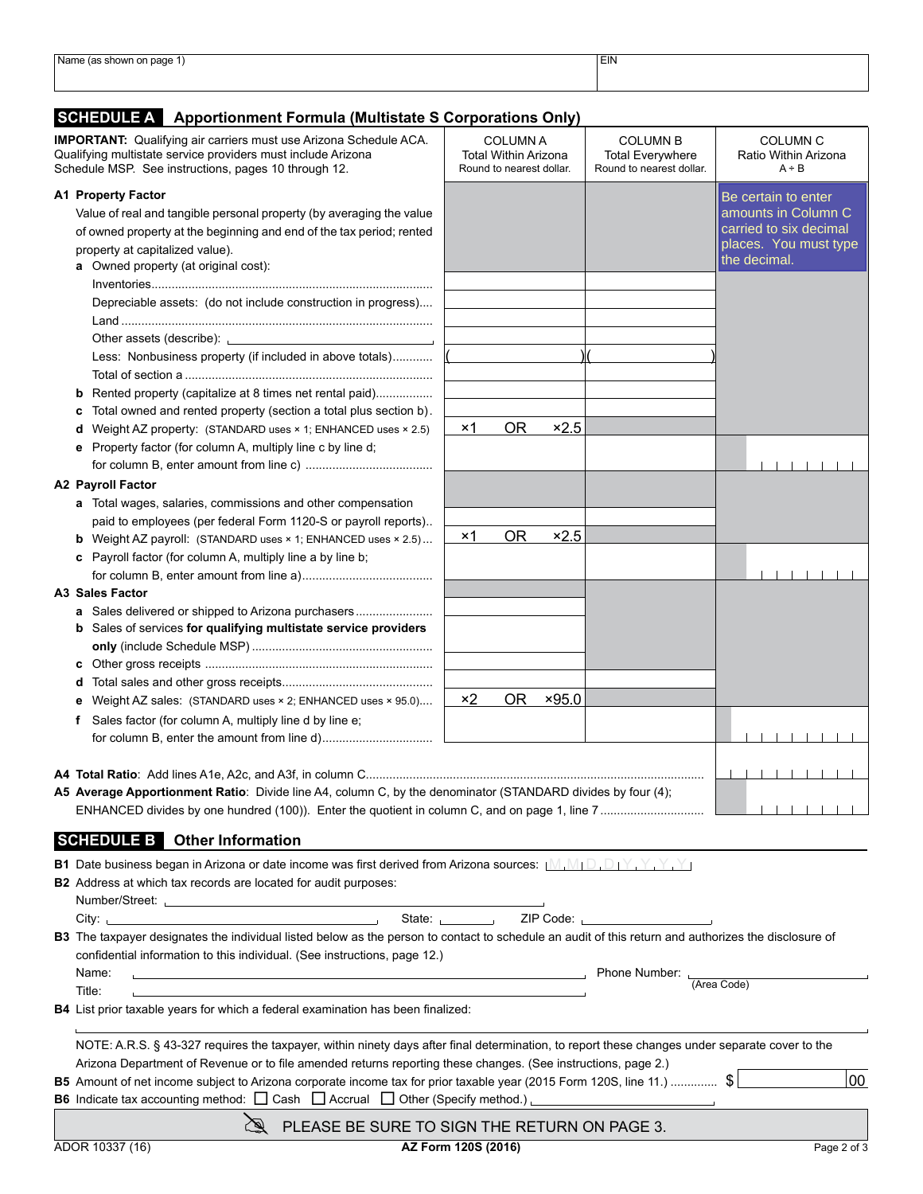| 'Nam<br>nggo<br>uauc<br>.<br>- 31 11 1 1 1 1 1 1 1 | <b>EIN</b> |
|----------------------------------------------------|------------|
|                                                    |            |
|                                                    |            |
|                                                    |            |
|                                                    |            |

## **SCHEDULE A Apportionment Formula (Multistate S Corporations Only)**

| <b>IMPORTANT:</b> Qualifying air carriers must use Arizona Schedule ACA.<br>Qualifying multistate service providers must include Arizona<br>Schedule MSP. See instructions, pages 10 through 12.                                     | <b>COLUMN A</b><br>Total Within Arizona<br>Round to nearest dollar. | <b>COLUMN B</b><br><b>Total Everywhere</b><br>Round to nearest dollar. | <b>COLUMN C</b><br>Ratio Within Arizona<br>$A \div B$ |  |
|--------------------------------------------------------------------------------------------------------------------------------------------------------------------------------------------------------------------------------------|---------------------------------------------------------------------|------------------------------------------------------------------------|-------------------------------------------------------|--|
| <b>A1 Property Factor</b>                                                                                                                                                                                                            |                                                                     |                                                                        | Be certain to enter                                   |  |
| Value of real and tangible personal property (by averaging the value                                                                                                                                                                 |                                                                     |                                                                        | amounts in Column C                                   |  |
| of owned property at the beginning and end of the tax period; rented                                                                                                                                                                 |                                                                     |                                                                        | carried to six decimal                                |  |
| property at capitalized value).                                                                                                                                                                                                      |                                                                     |                                                                        | places. You must type                                 |  |
| a Owned property (at original cost):                                                                                                                                                                                                 |                                                                     |                                                                        | the decimal.                                          |  |
|                                                                                                                                                                                                                                      |                                                                     |                                                                        |                                                       |  |
| Depreciable assets: (do not include construction in progress)                                                                                                                                                                        |                                                                     |                                                                        |                                                       |  |
|                                                                                                                                                                                                                                      |                                                                     |                                                                        |                                                       |  |
| Other assets (describe):                                                                                                                                                                                                             |                                                                     |                                                                        |                                                       |  |
| Less: Nonbusiness property (if included in above totals)                                                                                                                                                                             |                                                                     |                                                                        |                                                       |  |
|                                                                                                                                                                                                                                      |                                                                     |                                                                        |                                                       |  |
| Rented property (capitalize at 8 times net rental paid)<br>b                                                                                                                                                                         |                                                                     |                                                                        |                                                       |  |
| Total owned and rented property (section a total plus section b).<br>c                                                                                                                                                               |                                                                     |                                                                        |                                                       |  |
| Weight AZ property: (STANDARD uses × 1; ENHANCED uses × 2.5)<br>d                                                                                                                                                                    | 0R<br>$\times 2.5$<br>×1                                            |                                                                        |                                                       |  |
| e Property factor (for column A, multiply line c by line d;                                                                                                                                                                          |                                                                     |                                                                        |                                                       |  |
|                                                                                                                                                                                                                                      |                                                                     |                                                                        |                                                       |  |
| <b>A2 Payroll Factor</b>                                                                                                                                                                                                             |                                                                     |                                                                        |                                                       |  |
| a Total wages, salaries, commissions and other compensation                                                                                                                                                                          |                                                                     |                                                                        |                                                       |  |
| paid to employees (per federal Form 1120-S or payroll reports)                                                                                                                                                                       |                                                                     |                                                                        |                                                       |  |
| <b>b</b> Weight AZ payroll: (STANDARD uses × 1; ENHANCED uses × 2.5)                                                                                                                                                                 | OR<br>x2.5<br>$\times$ 1                                            |                                                                        |                                                       |  |
| c Payroll factor (for column A, multiply line a by line b;                                                                                                                                                                           |                                                                     |                                                                        |                                                       |  |
|                                                                                                                                                                                                                                      |                                                                     |                                                                        |                                                       |  |
| A3 Sales Factor                                                                                                                                                                                                                      |                                                                     |                                                                        |                                                       |  |
|                                                                                                                                                                                                                                      |                                                                     |                                                                        |                                                       |  |
| b Sales of services for qualifying multistate service providers                                                                                                                                                                      |                                                                     |                                                                        |                                                       |  |
|                                                                                                                                                                                                                                      |                                                                     |                                                                        |                                                       |  |
| c                                                                                                                                                                                                                                    |                                                                     |                                                                        |                                                       |  |
| d                                                                                                                                                                                                                                    |                                                                     |                                                                        |                                                       |  |
| Weight AZ sales: (STANDARD uses × 2; ENHANCED uses × 95.0)                                                                                                                                                                           | $\times 2$<br>OR.<br>×95.0                                          |                                                                        |                                                       |  |
| Sales factor (for column A, multiply line d by line e;                                                                                                                                                                               |                                                                     |                                                                        |                                                       |  |
| f                                                                                                                                                                                                                                    |                                                                     |                                                                        |                                                       |  |
|                                                                                                                                                                                                                                      |                                                                     |                                                                        |                                                       |  |
|                                                                                                                                                                                                                                      |                                                                     |                                                                        |                                                       |  |
| A5 Average Apportionment Ratio: Divide line A4, column C, by the denominator (STANDARD divides by four (4);                                                                                                                          |                                                                     |                                                                        |                                                       |  |
|                                                                                                                                                                                                                                      |                                                                     |                                                                        |                                                       |  |
|                                                                                                                                                                                                                                      |                                                                     |                                                                        |                                                       |  |
| <b>SCHEDULE B</b> Other Information                                                                                                                                                                                                  |                                                                     |                                                                        |                                                       |  |
| <b>B1</b> Date business began in Arizona or date income was first derived from Arizona sources: $\mathbb{M}, \mathbb{M}, \mathbb{D}, \mathbb{D}, \mathbb{Y}, \mathbb{Y}, \mathbb{Y}$                                                 |                                                                     |                                                                        |                                                       |  |
| <b>B2</b> Address at which tax records are located for audit purposes:                                                                                                                                                               |                                                                     |                                                                        |                                                       |  |
| Number/Street: <u>Land and a series and a series of the series of the series of the series of the series of the series of the series of the series of the series of the series of the series of the series of the series of the </u> |                                                                     |                                                                        |                                                       |  |
|                                                                                                                                                                                                                                      | State: <u>Union</u> ZIP Code: <u>Union</u>                          |                                                                        |                                                       |  |
| B3 The taxpayer designates the individual listed below as the person to contact to schedule an audit of this return and authorizes the disclosure of                                                                                 |                                                                     |                                                                        |                                                       |  |
| confidential information to this individual. (See instructions, page 12.)                                                                                                                                                            |                                                                     |                                                                        |                                                       |  |
| Name:                                                                                                                                                                                                                                |                                                                     |                                                                        |                                                       |  |
| Title:                                                                                                                                                                                                                               |                                                                     |                                                                        | (Area Code)                                           |  |
| B4 List prior taxable years for which a federal examination has been finalized:                                                                                                                                                      |                                                                     |                                                                        |                                                       |  |
|                                                                                                                                                                                                                                      |                                                                     |                                                                        |                                                       |  |
| NOTE: A.R.S. § 43-327 requires the taxpayer, within ninety days after final determination, to report these changes under separate cover to the                                                                                       |                                                                     |                                                                        |                                                       |  |
| Arizona Department of Revenue or to file amended returns reporting these changes. (See instructions, page 2.)                                                                                                                        |                                                                     |                                                                        |                                                       |  |
| 00<br>B5 Amount of net income subject to Arizona corporate income tax for prior taxable year (2015 Form 120S, line 11.)  \$                                                                                                          |                                                                     |                                                                        |                                                       |  |
| <b>B6</b> Indicate tax accounting method: $\Box$ Cash $\Box$ Accrual $\Box$ Other (Specify method.)                                                                                                                                  |                                                                     |                                                                        |                                                       |  |
|                                                                                                                                                                                                                                      |                                                                     |                                                                        |                                                       |  |
| PLEASE BE SURE TO SIGN THE RETURN ON PAGE 3.                                                                                                                                                                                         |                                                                     |                                                                        |                                                       |  |
| ADOR 10337 (16)                                                                                                                                                                                                                      | AZ Form 120S (2016)                                                 |                                                                        | Page 2 of 3                                           |  |